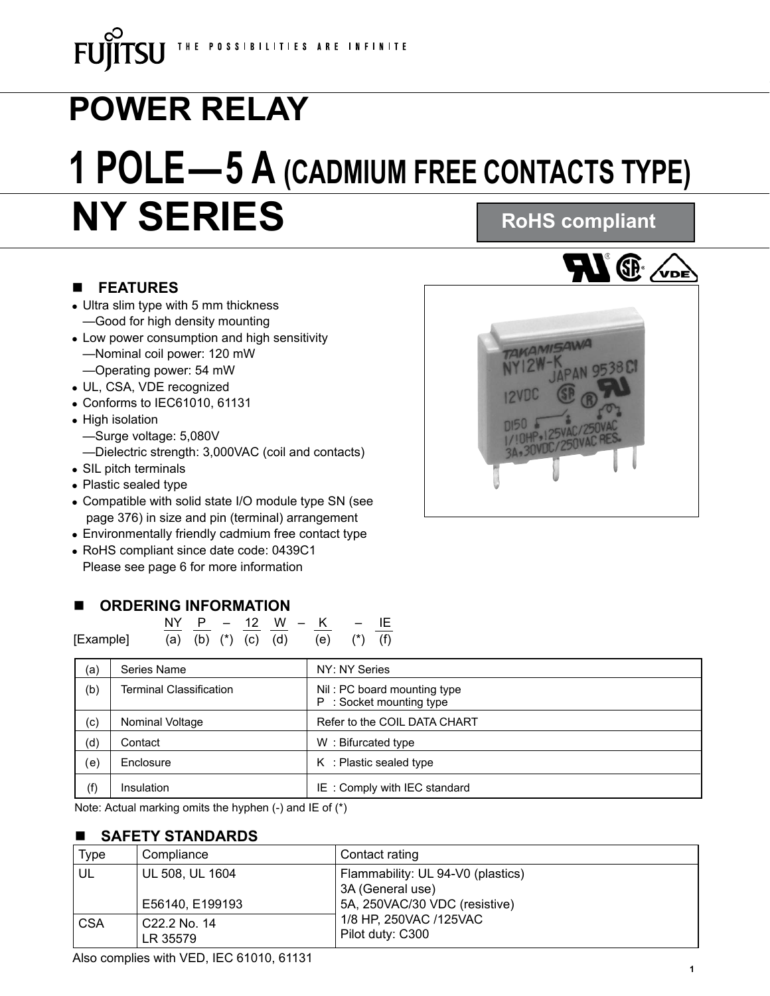# **NY SERIES POWER RELAY 1 POLE—5 A (CADMIUM FREE CONTACTS TYPE) RoHS compliant**

#### n **FEATURES**

- Ultra slim type with 5 mm thickness —Good for high density mounting
- Low power consumption and high sensitivity —Nominal coil power: 120 mW —Operating power: 54 mW
- UL, CSA, VDE recognized
- $\bullet$  Conforms to IEC61010, 61131
- High isolation
	- —Surge voltage: 5,080V
	- —Dielectric strength: 3,000VAC (coil and contacts)
- SIL pitch terminals
- Plastic sealed type
- Compatible with solid state I/O module type SN (see page 376) in size and pin (terminal) arrangement
- Environmentally friendly cadmium free contact type
- RoHS compliant since date code: 0439C1 Please see page 6 for more information

#### **ORDERING INFORMATION**

|           |  |  |  | NY P - 12 W - K - IF            |  |
|-----------|--|--|--|---------------------------------|--|
| [Example] |  |  |  | (a) (b) (*) (c) (d) (e) (*) (f) |  |

| (a)                         | Series Name                    | NY: NY Series                                           |
|-----------------------------|--------------------------------|---------------------------------------------------------|
| (b)                         | <b>Terminal Classification</b> | Nil: PC board mounting type<br>P : Socket mounting type |
| (c)                         | Nominal Voltage                | Refer to the COIL DATA CHART                            |
| (d)                         | Contact                        | W: Bifurcated type                                      |
| $\left( \mathsf{e} \right)$ | Enclosure                      | $K$ : Plastic sealed type                               |
| (f)                         | Insulation                     | IE: Comply with IEC standard                            |

Note: Actual marking omits the hyphen (-) and IE of (\*)

#### n **SAFETY STANDARDS**

| <b>Type</b> | Compliance                            | Contact rating                                    |
|-------------|---------------------------------------|---------------------------------------------------|
| UL          | UL 508, UL 1604                       | Flammability: UL 94-V0 (plastics)                 |
|             | E56140, E199193                       | 3A (General use)<br>5A, 250VAC/30 VDC (resistive) |
| <b>CSA</b>  | C <sub>22</sub> .2 No. 14<br>LR 35579 | 1/8 HP, 250VAC /125VAC<br>Pilot duty: C300        |

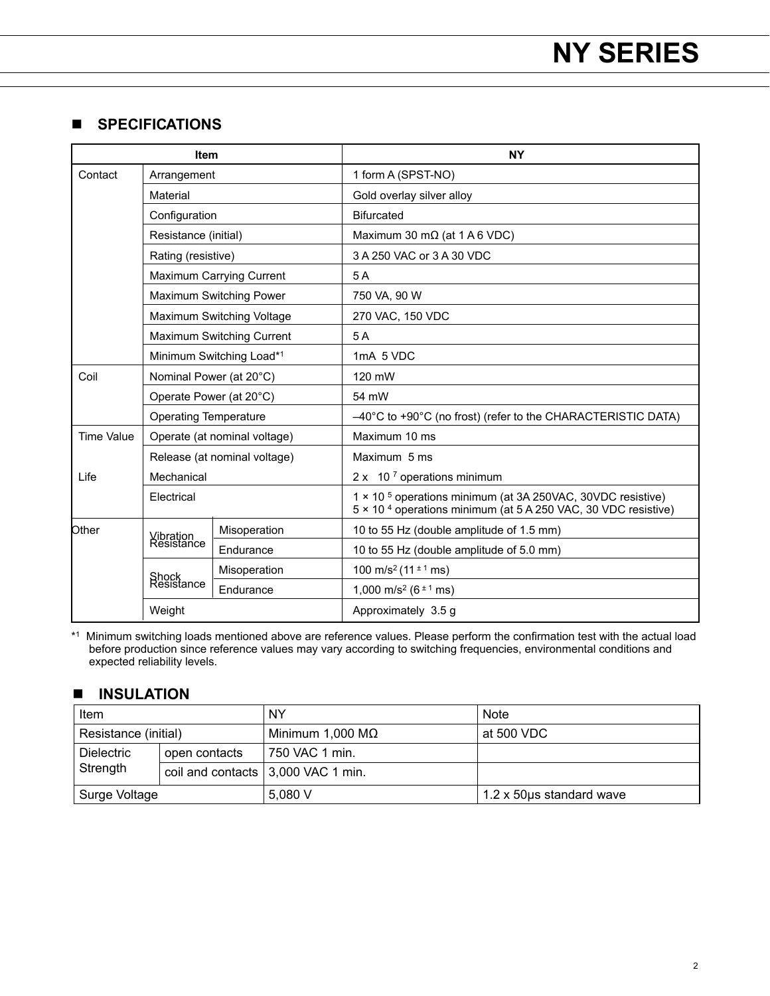#### n **SPECIFICATIONS**

| Item                      |                              |                                 | <b>NY</b>                                                                                                                                           |  |  |  |
|---------------------------|------------------------------|---------------------------------|-----------------------------------------------------------------------------------------------------------------------------------------------------|--|--|--|
| Contact                   | Arrangement                  |                                 | 1 form A (SPST-NO)                                                                                                                                  |  |  |  |
|                           | Material                     |                                 | Gold overlay silver alloy                                                                                                                           |  |  |  |
|                           | Configuration                |                                 | <b>Bifurcated</b>                                                                                                                                   |  |  |  |
|                           | Resistance (initial)         |                                 | Maximum 30 m $\Omega$ (at 1 A 6 VDC)                                                                                                                |  |  |  |
|                           | Rating (resistive)           |                                 | 3 A 250 VAC or 3 A 30 VDC                                                                                                                           |  |  |  |
|                           |                              | <b>Maximum Carrying Current</b> | 5 A                                                                                                                                                 |  |  |  |
|                           |                              | Maximum Switching Power         | 750 VA, 90 W                                                                                                                                        |  |  |  |
| Maximum Switching Voltage |                              |                                 | 270 VAC, 150 VDC                                                                                                                                    |  |  |  |
|                           |                              | Maximum Switching Current       | 5A                                                                                                                                                  |  |  |  |
|                           |                              | Minimum Switching Load*1        | 1mA 5 VDC                                                                                                                                           |  |  |  |
| Coil                      |                              | Nominal Power (at 20°C)         | 120 mW                                                                                                                                              |  |  |  |
|                           |                              | Operate Power (at 20°C)         | 54 mW                                                                                                                                               |  |  |  |
|                           | <b>Operating Temperature</b> |                                 | $-40^{\circ}$ C to +90 $^{\circ}$ C (no frost) (refer to the CHARACTERISTIC DATA)                                                                   |  |  |  |
| <b>Time Value</b>         |                              | Operate (at nominal voltage)    | Maximum 10 ms                                                                                                                                       |  |  |  |
|                           |                              | Release (at nominal voltage)    | Maximum 5 ms                                                                                                                                        |  |  |  |
| Life                      | Mechanical                   |                                 | $2 \times 10^7$ operations minimum                                                                                                                  |  |  |  |
|                           | Electrical                   |                                 | 1 × 10 <sup>5</sup> operations minimum (at 3A 250VAC, 30VDC resistive)<br>5 × 10 <sup>4</sup> operations minimum (at 5 A 250 VAC, 30 VDC resistive) |  |  |  |
| Other                     | Vibration<br>Resistance      | Misoperation                    | 10 to 55 Hz (double amplitude of 1.5 mm)                                                                                                            |  |  |  |
|                           |                              | Endurance                       | 10 to 55 Hz (double amplitude of 5.0 mm)                                                                                                            |  |  |  |
|                           | Shock<br>Resistance          | Misoperation                    | 100 m/s <sup>2</sup> (11 $\pm$ 1 ms)                                                                                                                |  |  |  |
|                           |                              | Endurance                       | 1,000 m/s <sup>2</sup> ( $6^{\pm 1}$ ms)                                                                                                            |  |  |  |
|                           | Weight                       |                                 | Approximately 3.5 g                                                                                                                                 |  |  |  |

\*1 Minimum switching loads mentioned above are reference values. Please perform the confirmation test with the actual load before production since reference values may vary according to switching frequencies, environmental conditions and expected reliability levels.

#### **n INSULATION**

| Item                          |               | ΝY                                         | <b>Note</b>               |  |
|-------------------------------|---------------|--------------------------------------------|---------------------------|--|
| Resistance (initial)          |               | Minimum 1,000 M $\Omega$                   | at 500 VDC                |  |
| <b>Dielectric</b><br>Strength | open contacts | 750 VAC 1 min.                             |                           |  |
|                               |               | coil and contacts $\vert 3,000$ VAC 1 min. |                           |  |
| Surge Voltage                 |               | 5.080V                                     | 1.2 x 50 us standard wave |  |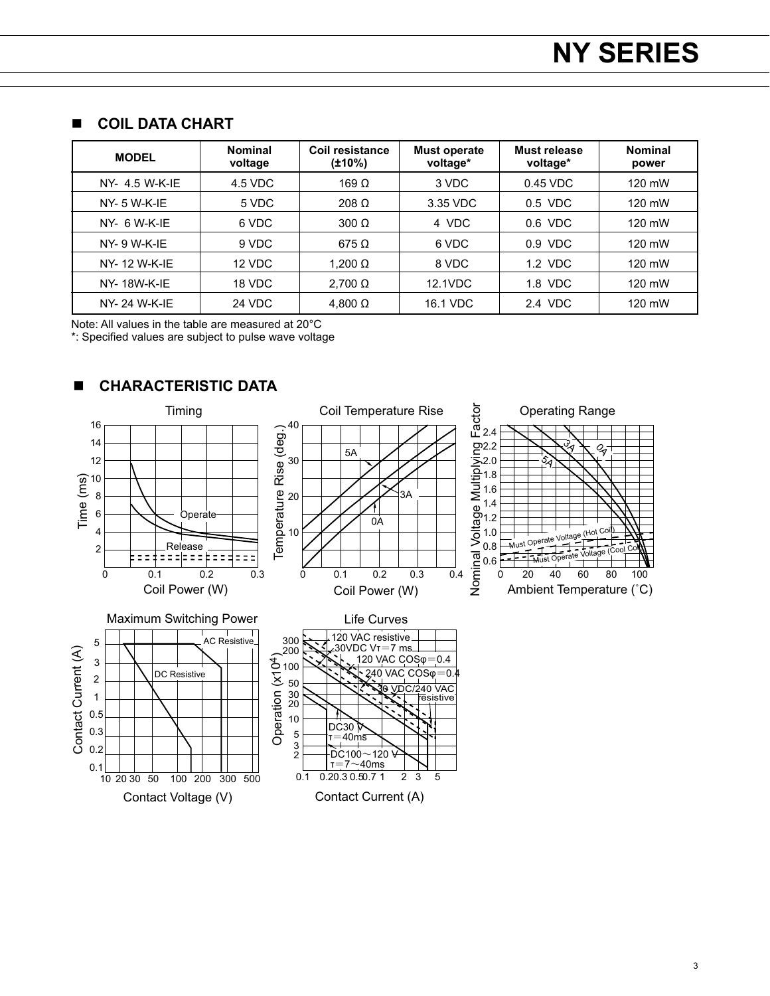#### $\blacksquare$  **COIL DATA CHART**

| <b>MODEL</b>        | <b>Nominal</b><br>voltage | Coil resistance<br>(±10%) | Must operate<br>voltage* | Must release<br>voltage* | <b>Nominal</b><br>power |
|---------------------|---------------------------|---------------------------|--------------------------|--------------------------|-------------------------|
| $NY-4.5$ W-K-IF     | 4.5 VDC                   | 169 $\Omega$              | 3 VDC                    | 0.45 VDC                 | 120 mW                  |
| $NY - 5 W - K - IE$ | 5 VDC                     | $208 \Omega$              | 3.35 VDC                 | $0.5$ VDC                | 120 mW                  |
| $NY- 6 W-K-IE$      | 6 VDC                     | $300 \Omega$              | 4 VDC                    | $0.6$ VDC                | 120 mW                  |
| $NY - 9 W - K - IE$ | 9 VDC                     | $675 \Omega$              | 6 VDC                    | 0.9 VDC                  | 120 mW                  |
| NY-12 W-K-IF        | 12 VDC                    | 1.200 $\Omega$            | 8 VDC                    | 1.2 VDC                  | 120 mW                  |
| <b>NY-18W-K-IE</b>  | 18 VDC                    | $2.700 \Omega$            | 12.1VDC                  | 1.8 VDC                  | 120 mW                  |
| <b>NY-24 W-K-IE</b> | <b>24 VDC</b>             | 4,800 $\Omega$            | 16.1 VDC                 | 2.4 VDC                  | 120 mW                  |

Note: All values in the table are measured at 20°C

\*: Specified values are subject to pulse wave voltage



#### **n** CHARACTERISTIC DATA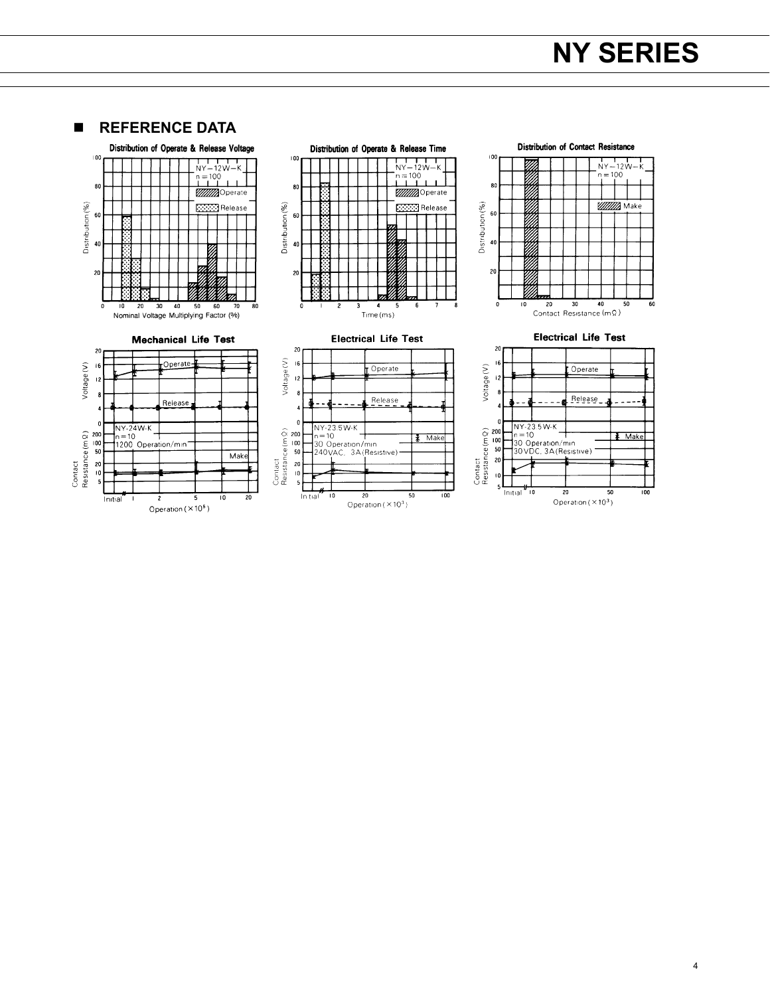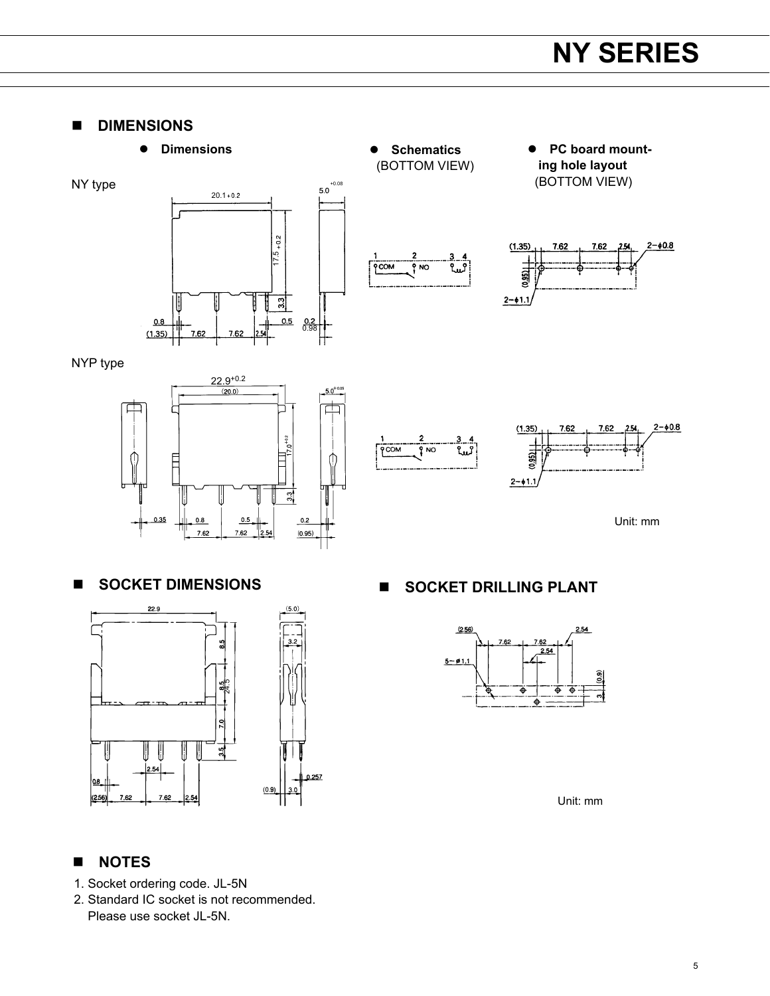**n** DIMENSIONS







Unit: mm

#### n **NOTES**

- 1. Socket ordering code. JL-5N
- 2. Standard IC socket is not recommended. Please use socket JL-5N.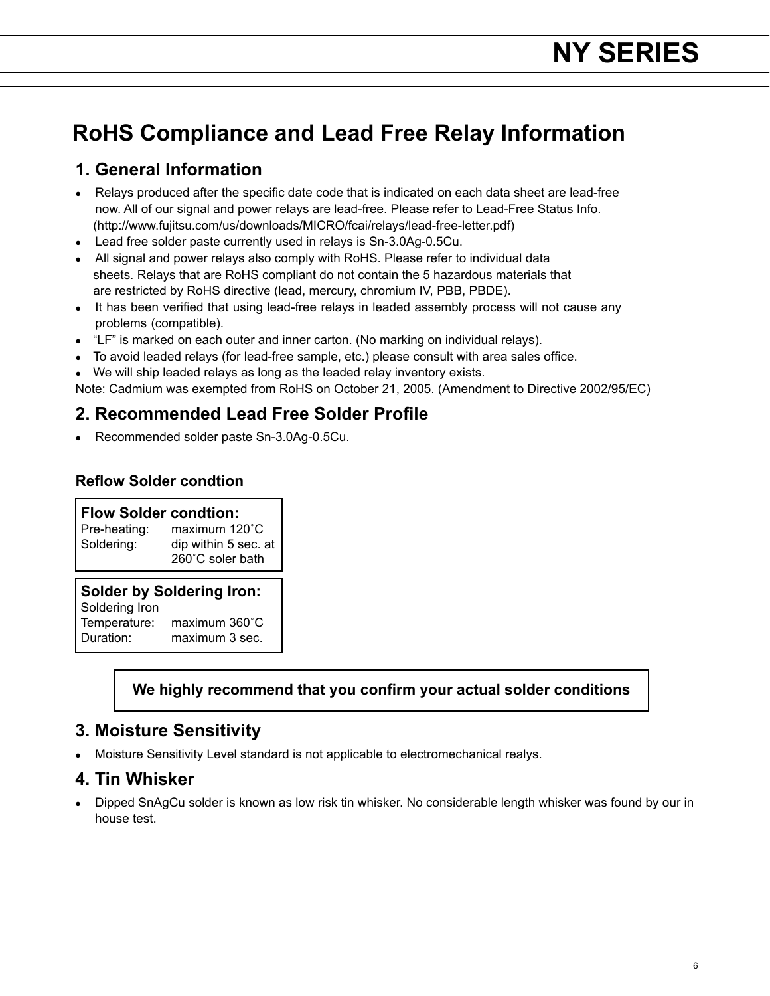## **RoHS Compliance and Lead Free Relay Information**

### **1. General Information**

- Relays produced after the specific date code that is indicated on each data sheet are lead-free now. All of our signal and power relays are lead-free. Please refer to Lead-Free Status Info. (http://www.fujitsu.com/us/downloads/MICRO/fcai/relays/lead-free-letter.pdf)
- $\bullet$  Lead free solder paste currently used in relays is Sn-3.0Ag-0.5Cu.
- All signal and power relays also comply with RoHS. Please refer to individual data sheets. Relays that are RoHS compliant do not contain the 5 hazardous materials that are restricted by RoHS directive (lead, mercury, chromium IV, PBB, PBDE).
- It has been verified that using lead-free relays in leaded assembly process will not cause any problems (compatible).
- $\bullet$  "LF" is marked on each outer and inner carton. (No marking on individual relays).
- To avoid leaded relays (for lead-free sample, etc.) please consult with area sales office.
- We will ship leaded relays as long as the leaded relay inventory exists.

Note: Cadmium was exempted from RoHS on October 21, 2005. (Amendment to Directive 2002/95/EC)

## **2. Recommended Lead Free Solder Profile**

• Recommended solder paste Sn-3.0Ag-0.5Cu.

#### **Reflow Solder condtion**

## **Flow Solder condtion:**<br>Pre-heating: maximum 12

maximum 120°C Soldering: dip within 5 sec. at 260˚C soler bath

#### **Solder by Soldering Iron:**

Soldering Iron<br>Temperature: maximum 360°C Duration: maximum 3 sec.

#### **We highly recommend that you confirm your actual solder conditions**

### **3. Moisture Sensitivity**

<sup>l</sup> Moisture Sensitivity Level standard is not applicable to electromechanical realys.

#### **4. Tin Whisker**

• Dipped SnAgCu solder is known as low risk tin whisker. No considerable length whisker was found by our in house test.